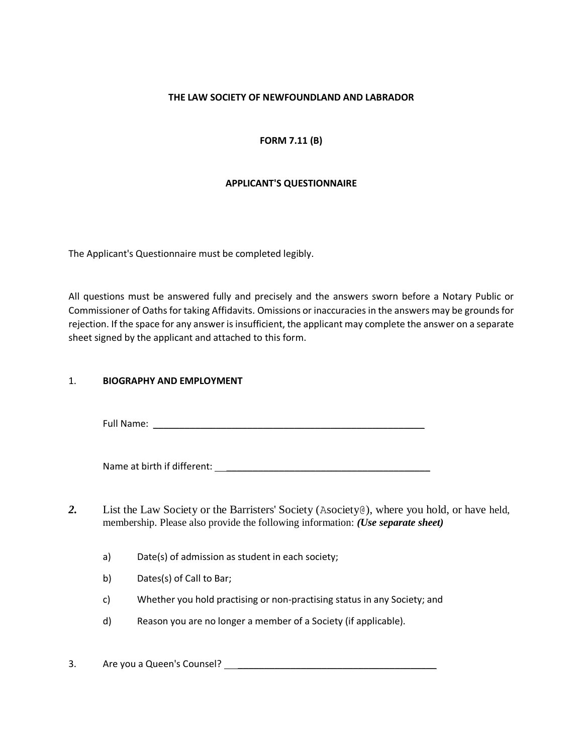#### **THE LAW SOCIETY OF NEWFOUNDLAND AND LABRADOR**

## **FORM 7.11 (B)**

## **APPLICANT'S QUESTIONNAIRE**

The Applicant's Questionnaire must be completed legibly.

All questions must be answered fully and precisely and the answers sworn before a Notary Public or Commissioner of Oaths for taking Affidavits. Omissions or inaccuracies in the answers may be grounds for rejection. If the space for any answer is insufficient, the applicant may complete the answer on a separate sheet signed by the applicant and attached to this form.

#### 1. **BIOGRAPHY AND EMPLOYMENT**

Full Name: \_\_\_\_\_\_\_\_\_\_\_\_\_\_\_\_\_\_\_\_\_\_\_\_\_\_\_\_\_\_\_\_\_\_\_\_\_\_\_\_\_\_\_\_\_\_\_\_\_\_\_\_

Name at birth if different: \_\_\_\_\_\_\_\_\_\_\_\_\_\_\_\_\_\_\_\_\_\_\_\_\_\_\_\_\_\_\_\_\_\_\_\_\_\_\_

2. List the Law Society or the Barristers' Society (Asociety @), where you hold, or have held, membership. Please also provide the following information: *(Use separate sheet)*

- a) Date(s) of admission as student in each society;
- b) Dates(s) of Call to Bar;
- c) Whether you hold practising or non-practising status in any Society; and
- d) Reason you are no longer a member of a Society (if applicable).

## 3. Are you a Queen's Counsel? \_\_\_\_\_\_\_\_\_\_\_\_\_\_\_\_\_\_\_\_\_\_\_\_\_\_\_\_\_\_\_\_\_\_\_\_\_\_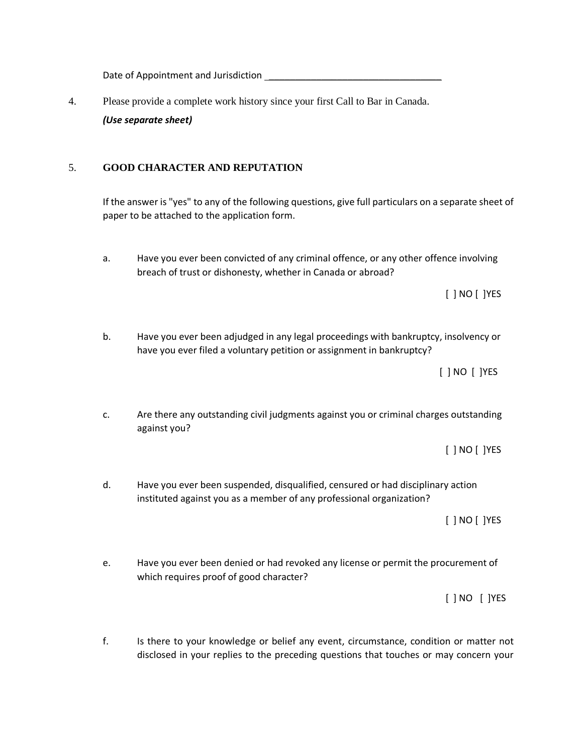Date of Appointment and Jurisdiction \_\_\_\_\_\_\_\_\_\_\_\_\_\_\_\_\_\_\_\_\_\_\_\_\_\_\_\_\_\_\_\_\_

4. Please provide a complete work history since your first Call to Bar in Canada. *(Use separate sheet)*

# 5. **GOOD CHARACTER AND REPUTATION**

If the answer is "yes" to any of the following questions, give full particulars on a separate sheet of paper to be attached to the application form.

a. Have you ever been convicted of any criminal offence, or any other offence involving breach of trust or dishonesty, whether in Canada or abroad?

[ ] NO [ ]YES

b. Have you ever been adjudged in any legal proceedings with bankruptcy, insolvency or have you ever filed a voluntary petition or assignment in bankruptcy?

[ ] NO [ ]YES

c. Are there any outstanding civil judgments against you or criminal charges outstanding against you?

[ ] NO [ ]YES

d. Have you ever been suspended, disqualified, censured or had disciplinary action instituted against you as a member of any professional organization?

[ ] NO [ ]YES

e. Have you ever been denied or had revoked any license or permit the procurement of which requires proof of good character?

[ ] NO [ ]YES

f. Is there to your knowledge or belief any event, circumstance, condition or matter not disclosed in your replies to the preceding questions that touches or may concern your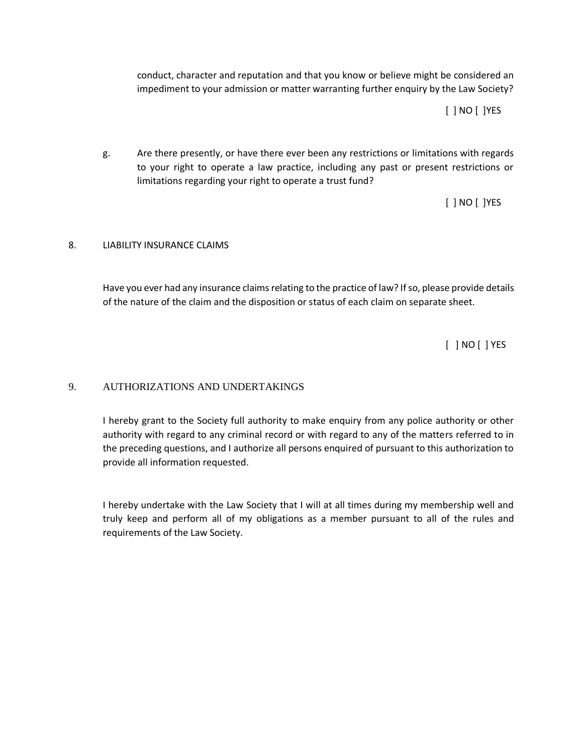conduct, character and reputation and that you know or believe might be considered an impediment to your admission or matter warranting further enquiry by the Law Society?

[ ] NO [ ]YES

g. Are there presently, or have there ever been any restrictions or limitations with regards to your right to operate a law practice, including any past or present restrictions or limitations regarding your right to operate a trust fund?

[ ] NO [ ]YES

## 8. LIABILITY INSURANCE CLAIMS

Have you ever had any insurance claims relating to the practice of law? If so, please provide details of the nature of the claim and the disposition or status of each claim on separate sheet.

[ ] NO [ ] YES

## 9. AUTHORIZATIONS AND UNDERTAKINGS

I hereby grant to the Society full authority to make enquiry from any police authority or other authority with regard to any criminal record or with regard to any of the matters referred to in the preceding questions, and I authorize all persons enquired of pursuant to this authorization to provide all information requested.

I hereby undertake with the Law Society that I will at all times during my membership well and truly keep and perform all of my obligations as a member pursuant to all of the rules and requirements of the Law Society.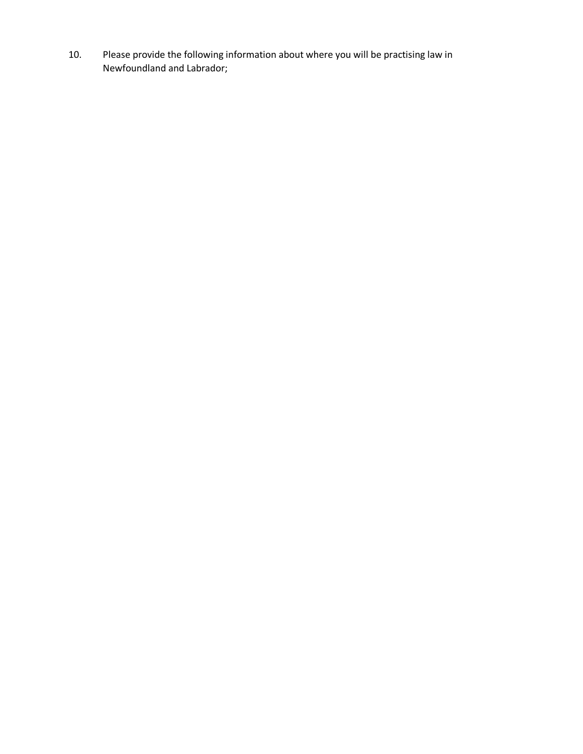10. Please provide the following information about where you will be practising law in Newfoundland and Labrador;